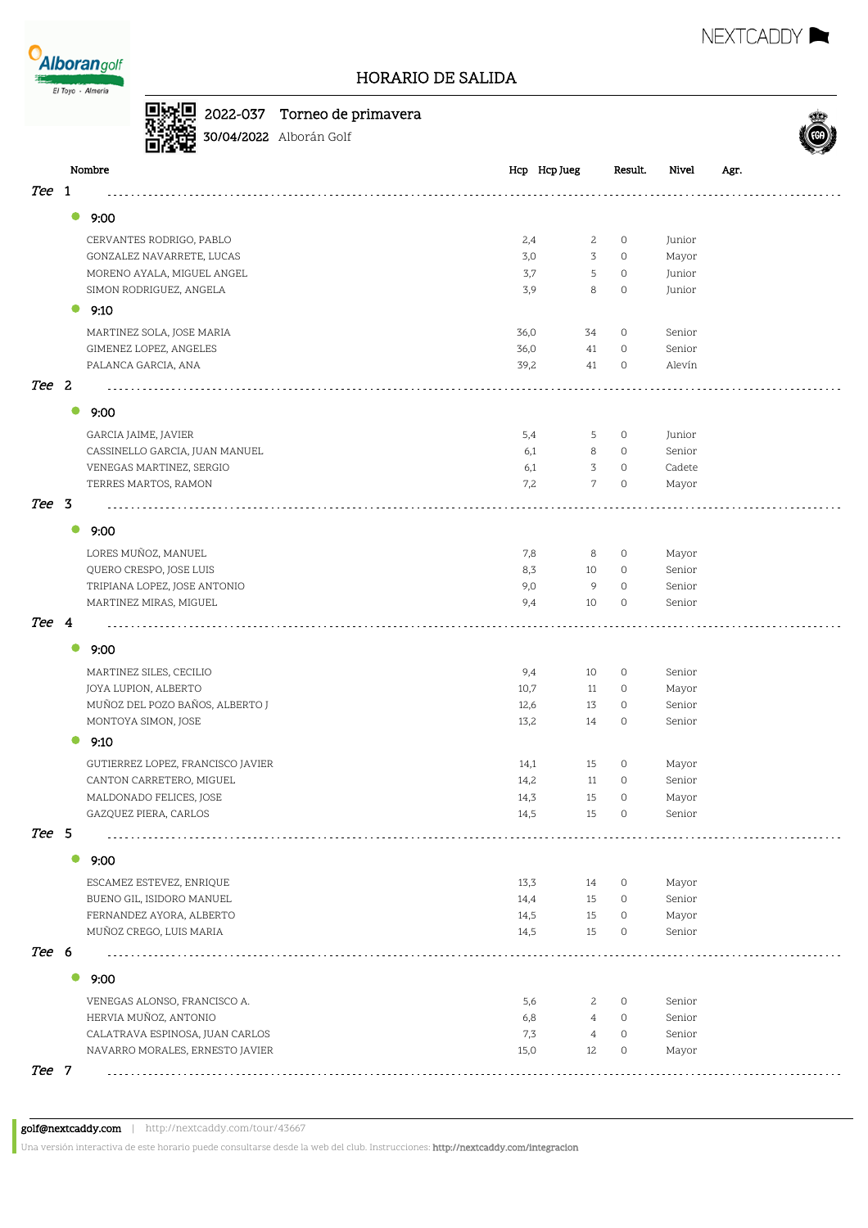

## 2022-037 Torneo de primavera



30/04/2022 Alborán Golf

|       |           | Nombre                            | Hcp Hcp Jueg |                | Result.             | Nivel  | Agr. |
|-------|-----------|-----------------------------------|--------------|----------------|---------------------|--------|------|
| Tee   | -1        |                                   |              |                |                     |        |      |
|       | 0         | 9:00                              |              |                |                     |        |      |
|       |           | CERVANTES RODRIGO, PABLO          | 2,4          | $\mathbf{2}$   | $\circ$             | Junior |      |
|       |           | GONZALEZ NAVARRETE, LUCAS         | 3,0          | 3              | $\circ$             | Mayor  |      |
|       |           | MORENO AYALA, MIGUEL ANGEL        | 3,7          | 5              | $\circ$             | Junior |      |
|       |           | SIMON RODRIGUEZ, ANGELA           | 3,9          | 8              | $\circ$             | Junior |      |
|       |           | 9:10                              |              |                |                     |        |      |
|       |           |                                   |              |                |                     |        |      |
|       |           | MARTINEZ SOLA, JOSE MARIA         | 36,0         | 34             | $\circ$             | Senior |      |
|       |           | GIMENEZ LOPEZ, ANGELES            | 36,0         | 41             | $\circ$             | Senior |      |
|       |           | PALANCA GARCIA, ANA               | 39,2         | 41             | $\circ$             | Alevín |      |
| Tee 2 |           |                                   |              |                |                     |        |      |
|       | $\bullet$ | 9:00                              |              |                |                     |        |      |
|       |           | GARCIA JAIME, JAVIER              | 5,4          | 5              | $\circ$             | Junior |      |
|       |           | CASSINELLO GARCIA, JUAN MANUEL    | 6,1          | 8              | $\circ$             | Senior |      |
|       |           | VENEGAS MARTINEZ, SERGIO          | 6,1          | 3              | $\circ$             | Cadete |      |
|       |           | TERRES MARTOS, RAMON              | 7,2          | $\overline{7}$ | $\circ$             | Mayor  |      |
| Tee 3 |           |                                   |              |                |                     |        |      |
|       | $\bullet$ | 9:00                              |              |                |                     |        |      |
|       |           | LORES MUÑOZ, MANUEL               | 7,8          | 8              | $\circ$             | Mayor  |      |
|       |           | QUERO CRESPO, JOSE LUIS           | 8,3          | 10             | $\circ$             | Senior |      |
|       |           | TRIPIANA LOPEZ, JOSE ANTONIO      | 9,0          | 9              | $\circ$             | Senior |      |
|       |           | MARTINEZ MIRAS, MIGUEL            | 9,4          | 10             | 0                   | Senior |      |
| Tee 4 |           |                                   |              |                |                     |        |      |
|       | $\bullet$ | 9:00                              |              |                |                     |        |      |
|       |           | MARTINEZ SILES, CECILIO           | 9,4          | 10             | $\circ$             | Senior |      |
|       |           | JOYA LUPION, ALBERTO              | 10,7         | 11             | $\circ$             | Mayor  |      |
|       |           | MUÑOZ DEL POZO BAÑOS, ALBERTO J   | 12,6         | 13             | $\circ$             | Senior |      |
|       |           | MONTOYA SIMON, JOSE               | 13,2         | 14             | $\circ$             | Senior |      |
|       | 0         | 9:10                              |              |                |                     |        |      |
|       |           | GUTIERREZ LOPEZ, FRANCISCO JAVIER | 14,1         | 15             | $\circ$             | Mayor  |      |
|       |           | CANTON CARRETERO, MIGUEL          | 14,2         | 11             | $\circ$             | Senior |      |
|       |           | MALDONADO FELICES, JOSE           | 14,3         | 15             | 0                   | Mayor  |      |
|       |           | GAZQUEZ PIERA, CARLOS             | 14,5         | 15             | $\mathsf{O}\xspace$ | Senior |      |
| Tee 5 |           |                                   |              |                |                     |        |      |
|       |           | 9:00                              |              |                |                     |        |      |
|       |           | ESCAMEZ ESTEVEZ, ENRIQUE          | 13,3         | 14             | $\circ$             | Mayor  |      |
|       |           | BUENO GIL, ISIDORO MANUEL         | 14,4         | 15             | $\circ$             | Senior |      |
|       |           | FERNANDEZ AYORA, ALBERTO          | 14,5         | 15             | $\circ$             | Mayor  |      |
|       |           | MUÑOZ CREGO, LUIS MARIA           | 14,5         | 15             | $\circ$             | Senior |      |
| Tee 6 |           |                                   |              |                |                     |        |      |
|       |           | 9:00                              |              |                |                     |        |      |
|       |           | VENEGAS ALONSO, FRANCISCO A.      | 5,6          | 2              | $\circ$             | Senior |      |
|       |           | HERVIA MUÑOZ, ANTONIO             | 6,8          | $\overline{4}$ | $\circ$             | Senior |      |
|       |           | CALATRAVA ESPINOSA, JUAN CARLOS   | 7,3          | $\overline{4}$ | $\circ$             | Senior |      |
|       |           | NAVARRO MORALES, ERNESTO JAVIER   | 15,0         | 12             | 0                   | Mayor  |      |
| Tee 7 |           |                                   |              |                |                     |        |      |
|       |           |                                   |              |                |                     |        |      |

Una versión interactiva de este horario puede consultarse desde la web del club. Instrucciones: http://nextcaddy.com/integracion

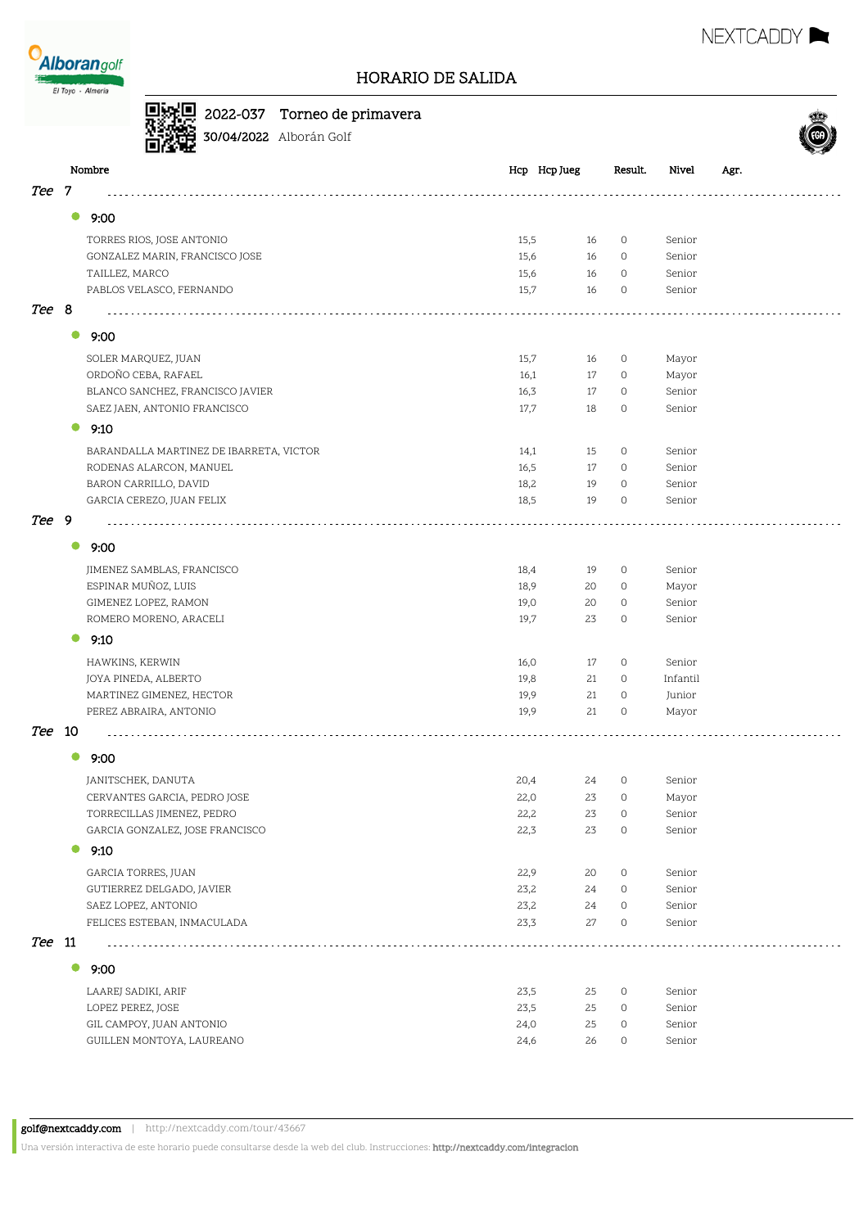

回头







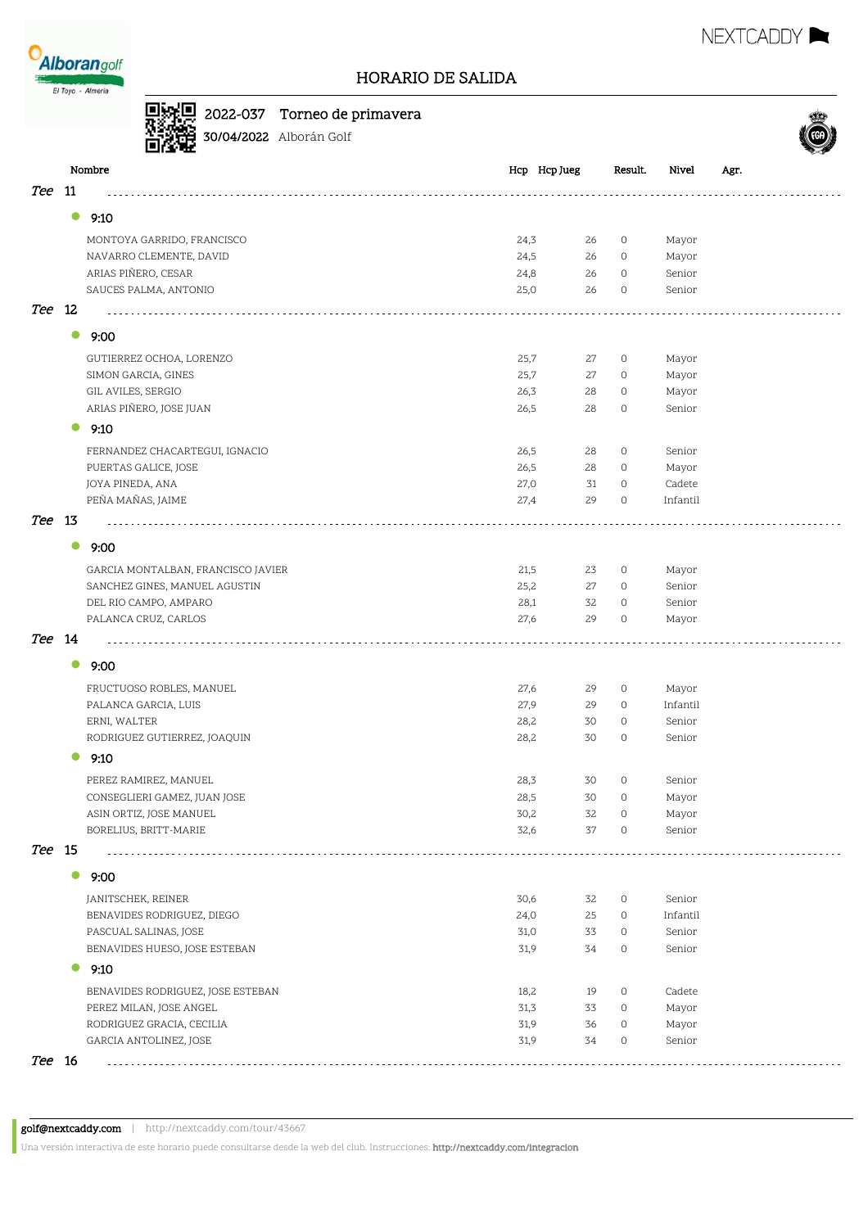

Θŧ व्यव 2022-037 Torneo de primavera



## 30/04/2022 Alborán Golf Nombre Hcp Hcp Jueg Result. Nivel Agr. Tee 11 distribution district  $\bullet$  9:10 MONTOYA GARRIDO, FRANCISCO 24,3 26 0 Mayor NAVARRO CLEMENTE, DAVID 24,5 26 0 Mayor ARIAS PIÑERO, CESAR CONTRACTED AND ARIAS POSSESSES AND ARIAS POSSESSES AND ARIAS POSSESSES AND SENIOR SENIOR SENIOR SENIOR SENIOR SENIOR SENIOR SENIOR SENIOR SENIOR SENIOR SENIOR SENIOR SENIOR SENIOR SENIOR SENIOR SENIOR S SAUCES PALMA, ANTONIO 25,0 26 0 Senior Tee 12 11111 . . . . . . .  $\bullet$  9:00 GUTIERREZ OCHOA, LORENZO 25,7 27 0 Mayor SIMON GARCIA, GINES 25,7 27 0 Mayor GIL AVILES, SERGIO 26,3 28 0 Mayor ARIAS PIÑERO, JOSE JUAN 26,5 28 0 Senior  $9:10$ FERNANDEZ CHACARTEGUI, IGNACIO 26,5 28 0 Senior PUERTAS GALICE, JOSE 26,5 28 0 Mayor JOYA PINEDA, ANA 27,0 31 0 Cadete PEÑA MAÑAS, JAIME 27,4 29 0 Infantil Tee 13  $\mathcal{L}$ **9:00** GARCIA MONTALBAN, FRANCISCO JAVIER 21,5 23 0 Mayor SANCHEZ GINES, MANUEL AGUSTIN 25,2 27 0 Senior DEL RIO CAMPO, AMPARO 28,1 32 0 Senior PALANCA CRUZ, CARLOS 27,6 29 0 Mayor Tee 14  $\bullet$  9:00 FRUCTUOSO ROBLES, MANUEL 27,6 29 0 Mayor PALANCA GARCIA, LUIS 27,9 29 0 Infantil ERNI, WALTER 28,2 30 0 Senior RODRIGUEZ GUTIERREZ, JOAQUIN 28,2 30 0 Senior  $\bullet$  9:10 PEREZ RAMIREZ, MANUEL 28,3 30 0 Senior CONSEGLIERI GAMEZ, JUAN JOSE 28,5 30 0 Mayor ASIN ORTIZ, JOSE MANUEL 30,2 32 0 Mayor BORELIUS, BRITT-MARIE 32,6 37 0 Senior Tee 15 . . . . . . . .  $\bullet$  9:00 JANITSCHEK, REINER 30,6 32 0 Senior BENAVIDES RODRIGUEZ, DIEGO 24,0 25 0 Infantil PASCUAL SALINAS, JOSE 31,0 33 0 Senior BENAVIDES HUESO, JOSE ESTEBAN 51,9 34 0 Senior  $9:10$ BENAVIDES RODRIGUEZ, JOSE ESTEBAN 18,2 19 0 Cadete PEREZ MILAN, JOSE ANGEL 2002 2003 12:3 33 0 Mayor RODRIGUEZ GRACIA, CECILIA 31,9 36 0 Mayor GARCIA ANTOLINEZ, JOSE 31,9 34 0 Senior Tee 16

golf@nextcaddy.com | http://nextcaddy.com/tour/43667

Una versión interactiva de este horario puede consultarse desde la web del club. Instrucciones: http://nextcaddy.com/integracion